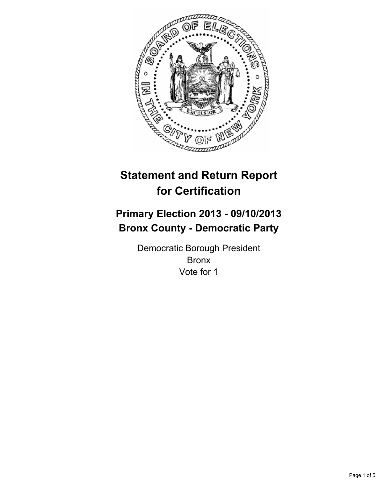

# **Statement and Return Report for Certification**

## **Primary Election 2013 - 09/10/2013 Bronx County - Democratic Party**

Democratic Borough President Bronx Vote for 1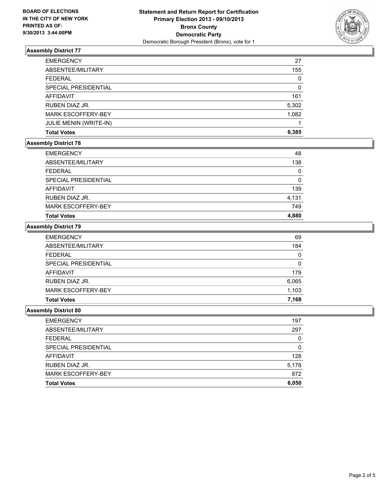

## **Assembly District 77**

| <b>EMERGENCY</b>              | 27    |
|-------------------------------|-------|
| ABSENTEE/MILITARY             | 155   |
| <b>FEDERAL</b>                | 0     |
| <b>SPECIAL PRESIDENTIAL</b>   | 0     |
| <b>AFFIDAVIT</b>              | 161   |
| RUBEN DIAZ JR.                | 5,302 |
| <b>MARK ESCOFFERY-BEY</b>     | 1,082 |
| <b>JULIE MENIN (WRITE-IN)</b> |       |
| <b>Total Votes</b>            | 6.385 |

#### **Assembly District 78**

| <b>EMERGENCY</b>     | 48    |
|----------------------|-------|
| ABSENTEE/MILITARY    | 138   |
| <b>FEDERAL</b>       | 0     |
| SPECIAL PRESIDENTIAL | 0     |
| AFFIDAVIT            | 139   |
| RUBEN DIAZ JR.       | 4,131 |
| MARK ESCOFFERY-BEY   | 749   |
| <b>Total Votes</b>   | 4,880 |

#### **Assembly District 79**

| <b>EMERGENCY</b>          | 69    |
|---------------------------|-------|
| ABSENTEE/MILITARY         | 184   |
| <b>FEDERAL</b>            | 0     |
| SPECIAL PRESIDENTIAL      | 0     |
| AFFIDAVIT                 | 179   |
| RUBEN DIAZ JR.            | 6,065 |
| <b>MARK ESCOFFERY-BEY</b> | 1,103 |
| <b>Total Votes</b>        | 7,168 |

#### **Assembly District 80**

| <b>EMERGENCY</b>          | 197   |
|---------------------------|-------|
| ABSENTEE/MILITARY         | 297   |
| <b>FEDERAL</b>            | 0     |
| SPECIAL PRESIDENTIAL      |       |
| <b>AFFIDAVIT</b>          | 128   |
| RUBEN DIAZ JR.            | 5,178 |
| <b>MARK ESCOFFERY-BEY</b> | 872   |
| <b>Total Votes</b>        | 6,050 |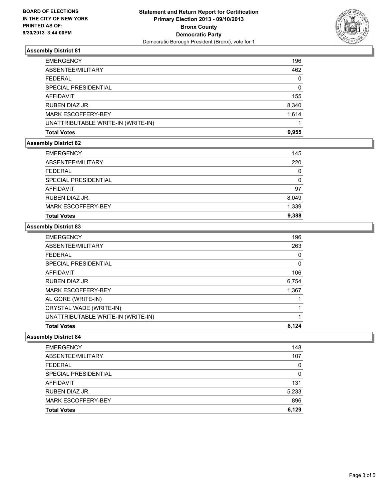

## **Assembly District 81**

| <b>EMERGENCY</b>                   | 196          |
|------------------------------------|--------------|
| ABSENTEE/MILITARY                  | 462          |
| <b>FEDERAL</b>                     | $\mathbf{0}$ |
| SPECIAL PRESIDENTIAL               | $\Omega$     |
| AFFIDAVIT                          | 155          |
| RUBEN DIAZ JR.                     | 8,340        |
| MARK ESCOFFERY-BEY                 | 1.614        |
| UNATTRIBUTABLE WRITE-IN (WRITE-IN) |              |
| <b>Total Votes</b>                 | 9.955        |

#### **Assembly District 82**

| <b>EMERGENCY</b>          | 145      |
|---------------------------|----------|
| ABSENTEE/MILITARY         | 220      |
| <b>FEDERAL</b>            | 0        |
| SPECIAL PRESIDENTIAL      | $\Omega$ |
| AFFIDAVIT                 | 97       |
| RUBEN DIAZ JR.            | 8,049    |
| <b>MARK ESCOFFERY-BEY</b> | 1,339    |
| <b>Total Votes</b>        | 9.388    |

#### **Assembly District 83**

| <b>EMERGENCY</b>                   | 196   |
|------------------------------------|-------|
| ABSENTEE/MILITARY                  | 263   |
| <b>FEDERAL</b>                     | 0     |
| SPECIAL PRESIDENTIAL               | 0     |
| <b>AFFIDAVIT</b>                   | 106   |
| RUBEN DIAZ JR.                     | 6,754 |
| <b>MARK ESCOFFERY-BEY</b>          | 1,367 |
| AL GORE (WRITE-IN)                 |       |
| CRYSTAL WADE (WRITE-IN)            |       |
| UNATTRIBUTABLE WRITE-IN (WRITE-IN) |       |
| <b>Total Votes</b>                 | 8.124 |

#### **Assembly District 84**

| <b>EMERGENCY</b>          | 148   |
|---------------------------|-------|
| ABSENTEE/MILITARY         | 107   |
| <b>FEDERAL</b>            | 0     |
| SPECIAL PRESIDENTIAL      | 0     |
| <b>AFFIDAVIT</b>          | 131   |
| RUBEN DIAZ JR.            | 5,233 |
| <b>MARK ESCOFFERY-BEY</b> | 896   |
| <b>Total Votes</b>        | 6.129 |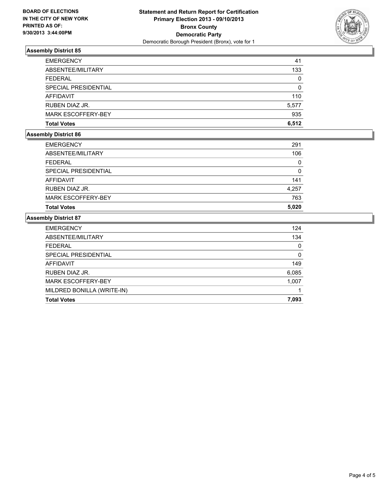

## **Assembly District 85**

| <b>EMERGENCY</b>          | 41    |
|---------------------------|-------|
| ABSENTEE/MILITARY         | 133   |
| <b>FEDERAL</b>            | 0     |
| SPECIAL PRESIDENTIAL      | 0     |
| <b>AFFIDAVIT</b>          | 110   |
| RUBEN DIAZ JR.            | 5,577 |
| <b>MARK ESCOFFERY-BEY</b> | 935   |
| <b>Total Votes</b>        | 6.512 |

## **Assembly District 86**

| <b>Total Votes</b>        | 5,020 |
|---------------------------|-------|
| <b>MARK ESCOFFERY-BEY</b> | 763   |
| RUBEN DIAZ JR.            | 4,257 |
| AFFIDAVIT                 | 141   |
| SPECIAL PRESIDENTIAL      | 0     |
| <b>FEDERAL</b>            | 0     |
| ABSENTEE/MILITARY         | 106   |
| <b>EMERGENCY</b>          | 291   |

#### **Assembly District 87**

| <b>EMERGENCY</b>           | 124   |
|----------------------------|-------|
| ABSENTEE/MILITARY          | 134   |
| <b>FEDERAL</b>             | 0     |
| SPECIAL PRESIDENTIAL       | 0     |
| AFFIDAVIT                  | 149   |
| RUBEN DIAZ JR.             | 6,085 |
| <b>MARK ESCOFFERY-BEY</b>  | 1,007 |
| MILDRED BONILLA (WRITE-IN) |       |
| <b>Total Votes</b>         | 7.093 |